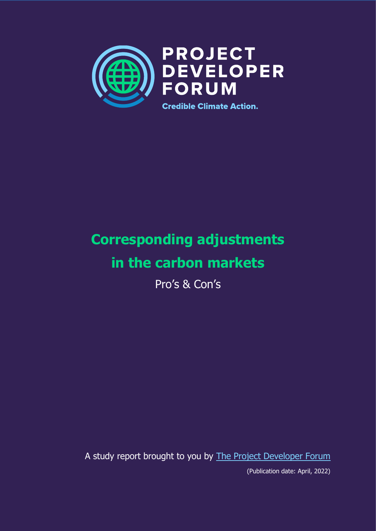

# **Corresponding adjustments in the carbon markets**

Pro's & Con's

A study report brought to you by [The Project Developer Forum](https://www.pd-forum.net/) (Publication date: April, 2022)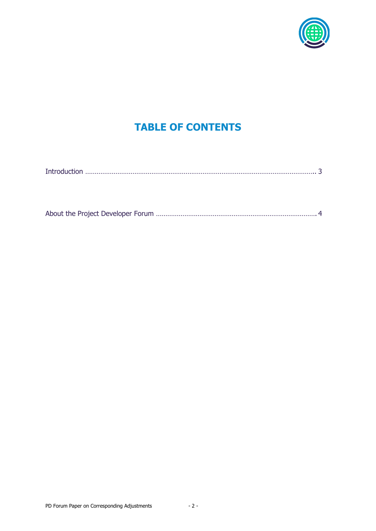

## **TABLE OF CONTENTS**

| والمقتدر والمراجع وبالمحالة |
|-----------------------------|
|                             |

|--|--|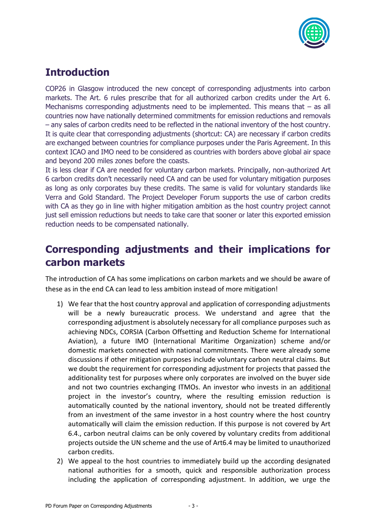

### **Introduction**

COP26 in Glasgow introduced the new concept of corresponding adjustments into carbon markets. The Art. 6 rules prescribe that for all authorized carbon credits under the Art 6. Mechanisms corresponding adjustments need to be implemented. This means that – as all countries now have nationally determined commitments for emission reductions and removals – any sales of carbon credits need to be reflected in the national inventory of the host country. It is quite clear that corresponding adjustments (shortcut: CA) are necessary if carbon credits are exchanged between countries for compliance purposes under the Paris Agreement. In this context ICAO and IMO need to be considered as countries with borders above global air space and beyond 200 miles zones before the coasts.

It is less clear if CA are needed for voluntary carbon markets. Principally, non-authorized Art 6 carbon credits don't necessarily need CA and can be used for voluntary mitigation purposes as long as only corporates buy these credits. The same is valid for voluntary standards like Verra and Gold Standard. The Project Developer Forum supports the use of carbon credits with CA as they go in line with higher mitigation ambition as the host country project cannot just sell emission reductions but needs to take care that sooner or later this exported emission reduction needs to be compensated nationally.

#### **Corresponding adjustments and their implications for carbon markets**

The introduction of CA has some implications on carbon markets and we should be aware of these as in the end CA can lead to less ambition instead of more mitigation!

- 1) We fear that the host country approval and application of corresponding adjustments will be a newly bureaucratic process. We understand and agree that the corresponding adjustment is absolutely necessary for all compliance purposes such as achieving NDCs, CORSIA (Carbon Offsetting and Reduction Scheme for International Aviation), a future IMO (International Maritime Organization) scheme and/or domestic markets connected with national commitments. There were already some discussions if other mitigation purposes include voluntary carbon neutral claims. But we doubt the requirement for corresponding adjustment for projects that passed the additionality test for purposes where only corporates are involved on the buyer side and not two countries exchanging ITMOs. An investor who invests in an additional project in the investor's country, where the resulting emission reduction is automatically counted by the national inventory, should not be treated differently from an investment of the same investor in a host country where the host country automatically will claim the emission reduction. If this purpose is not covered by Art 6.4., carbon neutral claims can be only covered by voluntary credits from additional projects outside the UN scheme and the use of Art6.4 may be limited to unauthorized carbon credits.
- 2) We appeal to the host countries to immediately build up the according designated national authorities for a smooth, quick and responsible authorization process including the application of corresponding adjustment. In addition, we urge the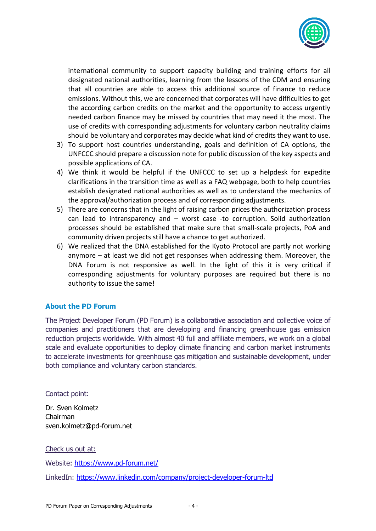

international community to support capacity building and training efforts for all designated national authorities, learning from the lessons of the CDM and ensuring that all countries are able to access this additional source of finance to reduce emissions. Without this, we are concerned that corporates will have difficulties to get the according carbon credits on the market and the opportunity to access urgently needed carbon finance may be missed by countries that may need it the most. The use of credits with corresponding adjustments for voluntary carbon neutrality claims should be voluntary and corporates may decide what kind of credits they want to use.

- 3) To support host countries understanding, goals and definition of CA options, the UNFCCC should prepare a discussion note for public discussion of the key aspects and possible applications of CA.
- 4) We think it would be helpful if the UNFCCC to set up a helpdesk for expedite clarifications in the transition time as well as a FAQ webpage, both to help countries establish designated national authorities as well as to understand the mechanics of the approval/authorization process and of corresponding adjustments.
- 5) There are concerns that in the light of raising carbon prices the authorization process can lead to intransparency and – worst case -to corruption. Solid authorization processes should be established that make sure that small-scale projects, PoA and community driven projects still have a chance to get authorized.
- 6) We realized that the DNA established for the Kyoto Protocol are partly not working anymore – at least we did not get responses when addressing them. Moreover, the DNA Forum is not responsive as well. In the light of this it is very critical if corresponding adjustments for voluntary purposes are required but there is no authority to issue the same!

#### **About the PD Forum**

The Project Developer Forum (PD Forum) is a collaborative association and collective voice of companies and practitioners that are developing and financing greenhouse gas emission reduction projects worldwide. With almost 40 full and affiliate members, we work on a global scale and evaluate opportunities to deploy climate financing and carbon market instruments to accelerate investments for greenhouse gas mitigation and sustainable development, under both compliance and voluntary carbon standards.

Contact point:

Dr. Sven Kolmetz Chairman sven.kolmetz@pd-forum.net

Check us out at:

Website:<https://www.pd-forum.net/>

LinkedIn:<https://www.linkedin.com/company/project-developer-forum-ltd>